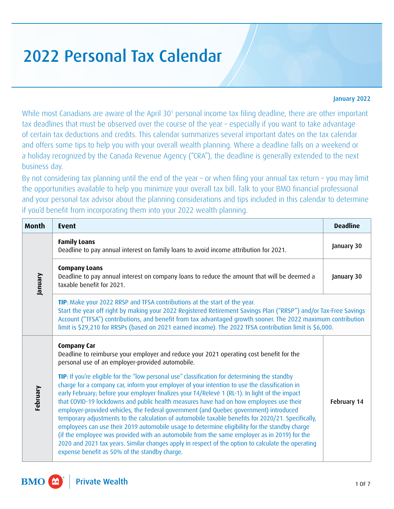## 2022 Personal Tax Calendar

## January 2022

While most Canadians are aware of the April 30<sup>[1](#page-6-0)</sup> personal income tax filing deadline, there are other important tax deadlines that must be observed over the course of the year – especially if you want to take advantage of certain tax deductions and credits. This calendar summarizes several important dates on the tax calendar and offers some tips to help you with your overall wealth planning. Where a deadline falls on a weekend or a holiday recognized by the Canada Revenue Agency ("CRA"), the deadline is generally extended to the next business day.

By not considering tax planning until the end of the year – or when filing your annual tax return – you may limit the opportunities available to help you minimize your overall tax bill. Talk to your BMO financial professional and your personal tax advisor about the planning considerations and tips included in this calendar to determine if you'd benefit from incorporating them into your 2022 wealth planning.

| <b>Month</b> | <b>Event</b>                                                                                                                                                                                                                                                                                                                                                                                                                                                                                                                                                                                                                                                                                                                                                                                                                                                                                                                                     | <b>Deadline</b> |
|--------------|--------------------------------------------------------------------------------------------------------------------------------------------------------------------------------------------------------------------------------------------------------------------------------------------------------------------------------------------------------------------------------------------------------------------------------------------------------------------------------------------------------------------------------------------------------------------------------------------------------------------------------------------------------------------------------------------------------------------------------------------------------------------------------------------------------------------------------------------------------------------------------------------------------------------------------------------------|-----------------|
| Vienue       | <b>Family Loans</b><br>Deadline to pay annual interest on family loans to avoid income attribution for 2021.                                                                                                                                                                                                                                                                                                                                                                                                                                                                                                                                                                                                                                                                                                                                                                                                                                     | January 30      |
|              | <b>Company Loans</b><br>Deadline to pay annual interest on company loans to reduce the amount that will be deemed a<br>taxable benefit for 2021.                                                                                                                                                                                                                                                                                                                                                                                                                                                                                                                                                                                                                                                                                                                                                                                                 | January 30      |
|              | TIP: Make your 2022 RRSP and TFSA contributions at the start of the year.<br>Start the year off right by making your 2022 Registered Retirement Savings Plan ("RRSP") and/or Tax-Free Savings<br>Account ("TFSA") contributions, and benefit from tax advantaged growth sooner. The 2022 maximum contribution<br>limit is \$29,210 for RRSPs (based on 2021 earned income). The 2022 TFSA contribution limit is \$6,000.                                                                                                                                                                                                                                                                                                                                                                                                                                                                                                                         |                 |
| February     | Company Car<br>Deadline to reimburse your employer and reduce your 2021 operating cost benefit for the<br>personal use of an employer-provided automobile.                                                                                                                                                                                                                                                                                                                                                                                                                                                                                                                                                                                                                                                                                                                                                                                       |                 |
|              | TIP: If you're eligible for the "low personal use" classification for determining the standby<br>charge for a company car, inform your employer of your intention to use the classification in<br>early February; before your employer finalizes your T4/Relevé 1 (RL-1). In light of the impact<br>that COVID-19 lockdowns and public health measures have had on how employees use their<br>employer-provided vehicles, the Federal government (and Quebec government) introduced<br>temporary adjustments to the calculation of automobile taxable benefits for 2020/21. Specifically,<br>employees can use their 2019 automobile usage to determine eligibility for the standby charge<br>(if the employee was provided with an automobile from the same employer as in 2019) for the<br>2020 and 2021 tax years. Similar changes apply in respect of the option to calculate the operating<br>expense benefit as 50% of the standby charge. | February 14     |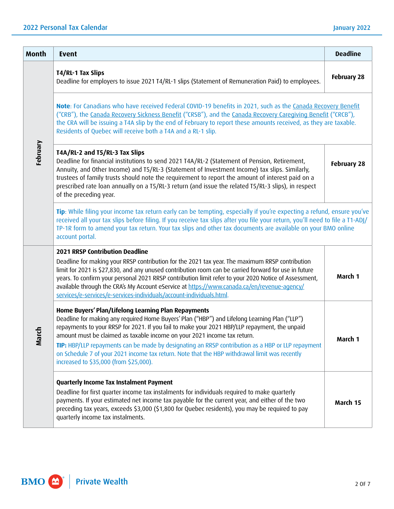| <b>Month</b> | <b>Event</b>                                                                                                                                                                                                                                                                                                                                                                                                                                                                                                                                                                      | <b>Deadline</b>    |
|--------------|-----------------------------------------------------------------------------------------------------------------------------------------------------------------------------------------------------------------------------------------------------------------------------------------------------------------------------------------------------------------------------------------------------------------------------------------------------------------------------------------------------------------------------------------------------------------------------------|--------------------|
| February     | T4/RL-1 Tax Slips<br>Deadline for employers to issue 2021 T4/RL-1 slips (Statement of Remuneration Paid) to employees.                                                                                                                                                                                                                                                                                                                                                                                                                                                            | <b>February 28</b> |
|              | Note: For Canadians who have received Federal COVID-19 benefits in 2021, such as the Canada Recovery Benefit<br>("CRB"), the Canada Recovery Sickness Benefit ("CRSB"), and the Canada Recovery Caregiving Benefit ("CRCB"),<br>the CRA will be issuing a T4A slip by the end of February to report these amounts received, as they are taxable.<br>Residents of Quebec will receive both a T4A and a RL-1 slip.                                                                                                                                                                  |                    |
|              | T4A/RL-2 and T5/RL-3 Tax Slips<br>Deadline for financial institutions to send 2021 T4A/RL-2 (Statement of Pension, Retirement,<br>Annuity, and Other Income) and T5/RL-3 (Statement of Investment Income) tax slips. Similarly,<br>trustees of family trusts should note the requirement to report the amount of interest paid on a<br>prescribed rate loan annually on a T5/RL-3 return (and issue the related T5/RL-3 slips), in respect<br>of the preceding year.                                                                                                              | <b>February 28</b> |
|              | Tip: While filing your income tax return early can be tempting, especially if you're expecting a refund, ensure you've<br>received all your tax slips before filing. If you receive tax slips after you file your return, you'll need to file a T1-ADJ/<br>TP-1R form to amend your tax return. Your tax slips and other tax documents are available on your BMO online<br>account portal.                                                                                                                                                                                        |                    |
| March        | <b>2021 RRSP Contribution Deadline</b><br>Deadline for making your RRSP contribution for the 2021 tax year. The maximum RRSP contribution<br>limit for 2021 is \$27,830, and any unused contribution room can be carried forward for use in future<br>years. To confirm your personal 2021 RRSP contribution limit refer to your 2020 Notice of Assessment,<br>available through the CRA's My Account eService at https://www.canada.ca/en/revenue-agency/<br>services/e-services/e-services-individuals/account-individuals.html.                                                | March 1            |
|              | Home Buyers' Plan/Lifelong Learning Plan Repayments<br>Deadline for making any required Home Buyers' Plan ("HBP") and Lifelong Learning Plan ("LLP")<br>repayments to your RRSP for 2021. If you fail to make your 2021 HBP/LLP repayment, the unpaid<br>amount must be claimed as taxable income on your 2021 income tax return.<br>TIP: HBP/LLP repayments can be made by designating an RRSP contribution as a HBP or LLP repayment<br>on Schedule 7 of your 2021 income tax return. Note that the HBP withdrawal limit was recently<br>increased to \$35,000 (from \$25,000). | March 1            |
|              | <b>Quarterly Income Tax Instalment Payment</b><br>Deadline for first quarter income tax instalments for individuals required to make quarterly<br>payments. If your estimated net income tax payable for the current year, and either of the two<br>preceding tax years, exceeds \$3,000 (\$1,800 for Quebec residents), you may be required to pay<br>quarterly income tax instalments.                                                                                                                                                                                          | March 15           |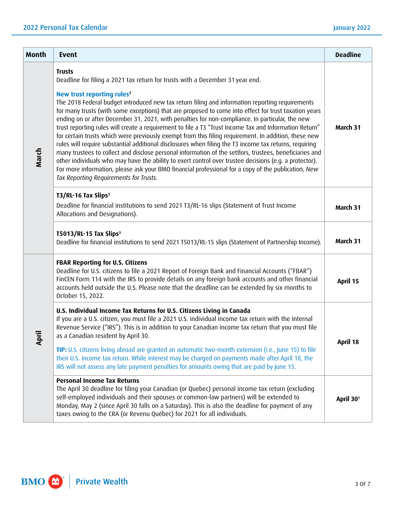| <b>Month</b> | <b>Event</b>                                                                                                                                                                                                                                                                                                                                                                                                                                                                                                                                                                                                                                                                                                                                                                                                                                                                                                                                                                                                                                                                                                                                              | <b>Deadline</b>       |
|--------------|-----------------------------------------------------------------------------------------------------------------------------------------------------------------------------------------------------------------------------------------------------------------------------------------------------------------------------------------------------------------------------------------------------------------------------------------------------------------------------------------------------------------------------------------------------------------------------------------------------------------------------------------------------------------------------------------------------------------------------------------------------------------------------------------------------------------------------------------------------------------------------------------------------------------------------------------------------------------------------------------------------------------------------------------------------------------------------------------------------------------------------------------------------------|-----------------------|
| March        | <b>Trusts</b><br>Deadline for filing a 2021 tax return for trusts with a December 31 year end.<br>New trust reporting rules <sup>2</sup><br>The 2018 Federal budget introduced new tax return filing and information reporting requirements<br>for many trusts (with some exceptions) that are proposed to come into effect for trust taxation years<br>ending on or after December 31, 2021, with penalties for non-compliance. In particular, the new<br>trust reporting rules will create a requirement to file a T3 "Trust Income Tax and Information Return"<br>for certain trusts which were previously exempt from this filing requirement. In addition, these new<br>rules will require substantial additional disclosures when filing the T3 income tax returns, requiring<br>many trustees to collect and disclose personal information of the settlors, trustees, beneficiaries and<br>other individuals who may have the ability to exert control over trustee decisions (e.g. a protector).<br>For more information, please ask your BMO financial professional for a copy of the publication, New<br>Tax Reporting Requirements for Trusts. | March 31              |
|              | T3/RL-16 Tax Slips <sup>3</sup><br>Deadline for financial institutions to send 2021 T3/RL-16 slips (Statement of Trust Income<br>Allocations and Designations).                                                                                                                                                                                                                                                                                                                                                                                                                                                                                                                                                                                                                                                                                                                                                                                                                                                                                                                                                                                           | March 31              |
|              | T5013/RL-15 Tax Slips <sup>3</sup><br>Deadline for financial institutions to send 2021 T5013/RL-15 slips (Statement of Partnership Income).                                                                                                                                                                                                                                                                                                                                                                                                                                                                                                                                                                                                                                                                                                                                                                                                                                                                                                                                                                                                               | March 31              |
|              | <b>FBAR Reporting for U.S. Citizens</b><br>Deadline for U.S. citizens to file a 2021 Report of Foreign Bank and Financial Accounts ("FBAR")<br>FinCEN Form 114 with the IRS to provide details on any foreign bank accounts and other financial<br>accounts held outside the U.S. Please note that the deadline can be extended by six months to<br>October 15, 2022.                                                                                                                                                                                                                                                                                                                                                                                                                                                                                                                                                                                                                                                                                                                                                                                     | April 15              |
| April        | U.S. Individual Income Tax Returns for U.S. Citizens Living in Canada<br>If you are a U.S. citizen, you must file a 2021 U.S. individual income tax return with the Internal<br>Revenue Service ("IRS"). This is in addition to your Canadian income tax return that you must file<br>as a Canadian resident by April 30.                                                                                                                                                                                                                                                                                                                                                                                                                                                                                                                                                                                                                                                                                                                                                                                                                                 |                       |
|              | TIP: U.S. citizens living abroad are granted an automatic two-month extension (i.e., June 15) to file<br>their U.S. income tax return. While interest may be charged on payments made after April 18, the<br>IRS will not assess any late payment penalties for amounts owing that are paid by June 15.                                                                                                                                                                                                                                                                                                                                                                                                                                                                                                                                                                                                                                                                                                                                                                                                                                                   | April 18              |
|              | <b>Personal Income Tax Returns</b><br>The April 30 deadline for filing your Canadian (or Quebec) personal income tax return (excluding<br>self-employed individuals and their spouses or common-law partners) will be extended to<br>Monday, May 2 (since April 30 falls on a Saturday). This is also the deadline for payment of any<br>taxes owing to the CRA (or Revenu Québec) for 2021 for all individuals.                                                                                                                                                                                                                                                                                                                                                                                                                                                                                                                                                                                                                                                                                                                                          | April 30 <sup>1</sup> |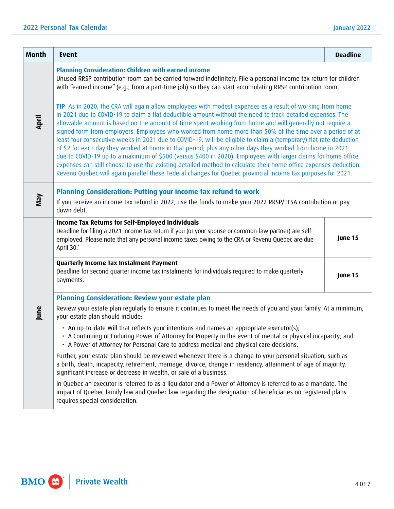| <b>Month</b> | <b>Event</b>                                                                                                                                                                                                                                                                                                                                                                                                                                                                                                                                                                                                                                                                                                                                                                                                                                                                                                                                                                                                                          | <b>Deadline</b> |  |
|--------------|---------------------------------------------------------------------------------------------------------------------------------------------------------------------------------------------------------------------------------------------------------------------------------------------------------------------------------------------------------------------------------------------------------------------------------------------------------------------------------------------------------------------------------------------------------------------------------------------------------------------------------------------------------------------------------------------------------------------------------------------------------------------------------------------------------------------------------------------------------------------------------------------------------------------------------------------------------------------------------------------------------------------------------------|-----------------|--|
|              | Planning Consideration: Children with earned income<br>Unused RRSP contribution room can be carried forward indefinitely. File a personal income tax return for children<br>with "earned income" (e.g., from a part-time job) so they can start accumulating RRSP contribution room.                                                                                                                                                                                                                                                                                                                                                                                                                                                                                                                                                                                                                                                                                                                                                  |                 |  |
| April        | TIP: As in 2020, the CRA will again allow employees with modest expenses as a result of working from home<br>in 2021 due to COVID-19 to claim a flat deductible amount without the need to track detailed expenses. The<br>allowable amount is based on the amount of time spent working from home and will generally not require a<br>signed form from employers. Employees who worked from home more than 50% of the time over a period of at<br>least four consecutive weeks in 2021 due to COVID-19, will be eligible to claim a (temporary) flat rate deduction<br>of \$2 for each day they worked at home in that period, plus any other days they worked from home in 2021<br>due to COVID-19 up to a maximum of \$500 (versus \$400 in 2020). Employees with larger claims for home office<br>expenses can still choose to use the existing detailed method to calculate their home office expenses deduction.<br>Revenu Québec will again parallel these Federal changes for Quebec provincial income tax purposes for 2021. |                 |  |
| VeW          | Planning Consideration: Putting your income tax refund to work<br>If you receive an income tax refund in 2022, use the funds to make your 2022 RRSP/TFSA contribution or pay<br>down debt.                                                                                                                                                                                                                                                                                                                                                                                                                                                                                                                                                                                                                                                                                                                                                                                                                                            |                 |  |
|              | Income Tax Returns for Self-Employed Individuals<br>Deadline for filing a 2021 income tax return if you (or your spouse or common-law partner) are self-<br>employed. Please note that any personal income taxes owing to the CRA or Revenu Québec are due<br>April 30.1                                                                                                                                                                                                                                                                                                                                                                                                                                                                                                                                                                                                                                                                                                                                                              | June 15         |  |
|              | Quarterly Income Tax Instalment Payment<br>Deadline for second quarter income tax instalments for individuals required to make quarterly<br>payments.                                                                                                                                                                                                                                                                                                                                                                                                                                                                                                                                                                                                                                                                                                                                                                                                                                                                                 | June 15         |  |
|              | <b>Planning Consideration: Review your estate plan</b>                                                                                                                                                                                                                                                                                                                                                                                                                                                                                                                                                                                                                                                                                                                                                                                                                                                                                                                                                                                |                 |  |
| June         | Review your estate plan regularly to ensure it continues to meet the needs of you and your family. At a minimum,<br>your estate plan should include:                                                                                                                                                                                                                                                                                                                                                                                                                                                                                                                                                                                                                                                                                                                                                                                                                                                                                  |                 |  |
|              | • An up-to-date Will that reflects your intentions and names an appropriate executor(s);<br>• A Continuing or Enduring Power of Attorney for Property in the event of mental or physical incapacity; and<br>• A Power of Attorney for Personal Care to address medical and physical care decisions.                                                                                                                                                                                                                                                                                                                                                                                                                                                                                                                                                                                                                                                                                                                                   |                 |  |
|              | Further, your estate plan should be reviewed whenever there is a change to your personal situation, such as<br>a birth, death, incapacity, retirement, marriage, divorce, change in residency, attainment of age of majority,<br>significant increase or decrease in wealth, or sale of a business.                                                                                                                                                                                                                                                                                                                                                                                                                                                                                                                                                                                                                                                                                                                                   |                 |  |
|              | In Quebec an executor is referred to as a liquidator and a Power of Attorney is referred to as a mandate. The<br>impact of Quebec family law and Quebec law regarding the designation of beneficiaries on registered plans<br>requires special consideration.                                                                                                                                                                                                                                                                                                                                                                                                                                                                                                                                                                                                                                                                                                                                                                         |                 |  |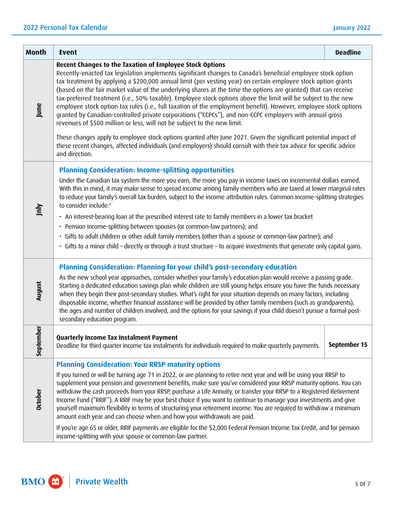| <b>Month</b>   | <b>Event</b>                                                                                                                                                                                                                                                                                                                                                                                                                                                                                                                                                                                                                                                                                                                                                                                                                                                                                                                                                                                                                                                                                          | <b>Deadline</b> |
|----------------|-------------------------------------------------------------------------------------------------------------------------------------------------------------------------------------------------------------------------------------------------------------------------------------------------------------------------------------------------------------------------------------------------------------------------------------------------------------------------------------------------------------------------------------------------------------------------------------------------------------------------------------------------------------------------------------------------------------------------------------------------------------------------------------------------------------------------------------------------------------------------------------------------------------------------------------------------------------------------------------------------------------------------------------------------------------------------------------------------------|-----------------|
| June           | Recent Changes to the Taxation of Employee Stock Options<br>Recently-enacted tax legislation implements significant changes to Canada's beneficial employee stock option<br>tax treatment by applying a \$200,000 annual limit (per vesting year) on certain employee stock option grants<br>(based on the fair market value of the underlying shares at the time the options are granted) that can receive<br>tax-preferred treatment (i.e., 50% taxable). Employee stock options above the limit will be subject to the new<br>employee stock option tax rules (i.e., full taxation of the employment benefit). However, employee stock options<br>granted by Canadian-controlled private corporations ("CCPCs"), and non-CCPC employers with annual gross<br>revenues of \$500 million or less, will not be subject to the new limit.<br>These changes apply to employee stock options granted after June 2021. Given the significant potential impact of<br>these recent changes, affected individuals (and employers) should consult with their tax advice for specific advice<br>and direction. |                 |
| Jnly           | <b>Planning Consideration: Income-splitting opportunities</b><br>Under the Canadian tax system the more you earn, the more you pay in income taxes on incremental dollars earned.<br>With this in mind, it may make sense to spread income among family members who are taxed at lower marginal rates<br>to reduce your family's overall tax burden, subject to the income attribution rules. Common income-splitting strategies<br>to consider include: <sup>4</sup><br>• An interest-bearing loan at the prescribed interest rate to family members in a lower tax bracket<br>• Pension income-splitting between spouses (or common-law partners); and<br>· Gifts to adult children or other adult family members (other than a spouse or common-law partner); and<br>· Gifts to a minor child - directly or through a trust structure - to acquire investments that generate only capital gains.                                                                                                                                                                                                   |                 |
| August         | Planning Consideration: Planning for your child's post-secondary education<br>As the new school year approaches, consider whether your family's education plan would receive a passing grade.<br>Starting a dedicated education savings plan while children are still young helps ensure you have the funds necessary<br>when they begin their post-secondary studies. What's right for your situation depends on many factors, including<br>disposable income, whether financial assistance will be provided by other family members (such as grandparents),<br>the ages and number of children involved, and the options for your savings if your child doesn't pursue a formal post-<br>secondary education program.                                                                                                                                                                                                                                                                                                                                                                               |                 |
| ē<br>Septemb   | Quarterly Income Tax Instalment Payment<br>Deadline for third quarter income tax instalments for individuals required to make quarterly payments.                                                                                                                                                                                                                                                                                                                                                                                                                                                                                                                                                                                                                                                                                                                                                                                                                                                                                                                                                     | September 15    |
| <b>October</b> | <b>Planning Consideration: Your RRSP maturity options</b><br>If you turned or will be turning age 71 in 2022, or are planning to retire next year and will be using your RRSP to<br>supplement your pension and government benefits, make sure you've considered your RRSP maturity options. You can<br>withdraw the cash proceeds from your RRSP, purchase a Life Annuity, or transfer your RRSP to a Registered Retirement<br>Income Fund ("RRIF"). A RRIF may be your best choice if you want to continue to manage your investments and give<br>yourself maximum flexibility in terms of structuring your retirement income. You are required to withdraw a minimum<br>amount each year and can choose when and how your withdrawals are paid.                                                                                                                                                                                                                                                                                                                                                    |                 |
|                | If you're age 65 or older, RRIF payments are eligible for the \$2,000 Federal Pension Income Tax Credit, and for pension<br>income-splitting with your spouse or common-law partner.                                                                                                                                                                                                                                                                                                                                                                                                                                                                                                                                                                                                                                                                                                                                                                                                                                                                                                                  |                 |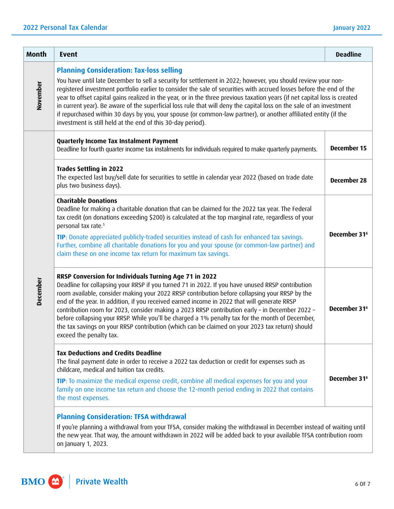| <b>Month</b> | <b>Event</b>                                                                                                                                                                                                                                                                                                                                                                                                                                                                                                                                                                                                                                                                                                                    | <b>Deadline</b>          |
|--------------|---------------------------------------------------------------------------------------------------------------------------------------------------------------------------------------------------------------------------------------------------------------------------------------------------------------------------------------------------------------------------------------------------------------------------------------------------------------------------------------------------------------------------------------------------------------------------------------------------------------------------------------------------------------------------------------------------------------------------------|--------------------------|
| November     | <b>Planning Consideration: Tax-loss selling</b><br>You have until late December to sell a security for settlement in 2022; however, you should review your non-<br>registered investment portfolio earlier to consider the sale of securities with accrued losses before the end of the<br>year to offset capital gains realized in the year, or in the three previous taxation years (if net capital loss is created<br>in current year). Be aware of the superficial loss rule that will deny the capital loss on the sale of an investment<br>if repurchased within 30 days by you, your spouse (or common-law partner), or another affiliated entity (if the<br>investment is still held at the end of this 30-day period). |                          |
| December     | Quarterly Income Tax Instalment Payment<br>Deadline for fourth quarter income tax instalments for individuals required to make quarterly payments.                                                                                                                                                                                                                                                                                                                                                                                                                                                                                                                                                                              | December 15              |
|              | <b>Trades Settling in 2022</b><br>The expected last buy/sell date for securities to settle in calendar year 2022 (based on trade date<br>plus two business days).                                                                                                                                                                                                                                                                                                                                                                                                                                                                                                                                                               | <b>December 28</b>       |
|              | <b>Charitable Donations</b><br>Deadline for making a charitable donation that can be claimed for the 2022 tax year. The Federal<br>tax credit (on donations exceeding \$200) is calculated at the top marginal rate, regardless of your<br>personal tax rate. <sup>5</sup>                                                                                                                                                                                                                                                                                                                                                                                                                                                      |                          |
|              | TIP: Donate appreciated publicly-traded securities instead of cash for enhanced tax savings.<br>Further, combine all charitable donations for you and your spouse (or common-law partner) and<br>claim these on one income tax return for maximum tax savings.                                                                                                                                                                                                                                                                                                                                                                                                                                                                  | December 31 <sup>6</sup> |
|              | RRSP Conversion for Individuals Turning Age 71 in 2022<br>Deadline for collapsing your RRSP if you turned 71 in 2022. If you have unused RRSP contribution<br>room available, consider making your 2022 RRSP contribution before collapsing your RRSP by the<br>end of the year. In addition, if you received earned income in 2022 that will generate RRSP<br>contribution room for 2023, consider making a 2023 RRSP contribution early - in December 2022 -<br>before collapsing your RRSP. While you'll be charged a 1% penalty tax for the month of December,<br>the tax savings on your RRSP contribution (which can be claimed on your 2023 tax return) should<br>exceed the penalty tax.                                | December 31 <sup>6</sup> |
|              | <b>Tax Deductions and Credits Deadline</b><br>The final payment date in order to receive a 2022 tax deduction or credit for expenses such as<br>childcare, medical and tuition tax credits.                                                                                                                                                                                                                                                                                                                                                                                                                                                                                                                                     |                          |
|              | TIP: To maximize the medical expense credit, combine all medical expenses for you and your<br>family on one income tax return and choose the 12-month period ending in 2022 that contains<br>the most expenses.                                                                                                                                                                                                                                                                                                                                                                                                                                                                                                                 | December 31 <sup>6</sup> |
|              | <b>Planning Consideration: TFSA withdrawal</b><br>If you're planning a withdrawal from your TFSA, consider making the withdrawal in December instead of waiting until<br>the new year. That way, the amount withdrawn in 2022 will be added back to your available TFSA contribution room<br>on January 1, 2023.                                                                                                                                                                                                                                                                                                                                                                                                                |                          |